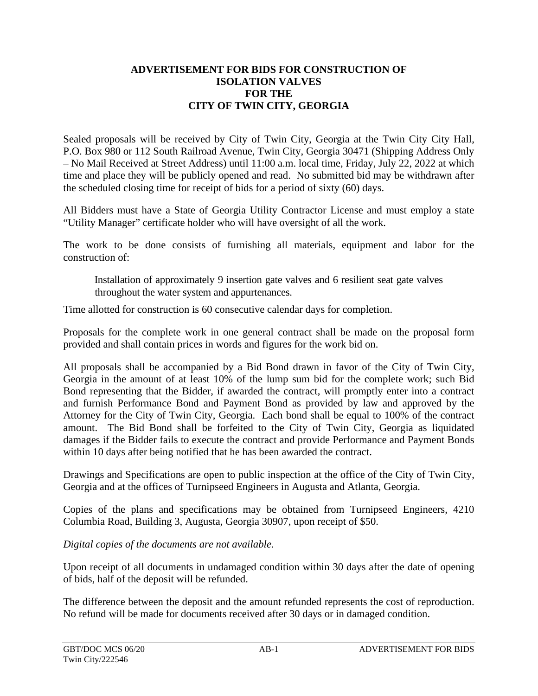## **ADVERTISEMENT FOR BIDS FOR CONSTRUCTION OF ISOLATION VALVES FOR THE CITY OF TWIN CITY, GEORGIA**

Sealed proposals will be received by City of Twin City, Georgia at the Twin City City Hall, P.O. Box 980 or 112 South Railroad Avenue, Twin City, Georgia 30471 (Shipping Address Only – No Mail Received at Street Address) until 11:00 a.m. local time, Friday, July 22, 2022 at which time and place they will be publicly opened and read. No submitted bid may be withdrawn after the scheduled closing time for receipt of bids for a period of sixty (60) days.

All Bidders must have a State of Georgia Utility Contractor License and must employ a state "Utility Manager" certificate holder who will have oversight of all the work.

The work to be done consists of furnishing all materials, equipment and labor for the construction of:

Installation of approximately 9 insertion gate valves and 6 resilient seat gate valves throughout the water system and appurtenances.

Time allotted for construction is 60 consecutive calendar days for completion.

Proposals for the complete work in one general contract shall be made on the proposal form provided and shall contain prices in words and figures for the work bid on.

All proposals shall be accompanied by a Bid Bond drawn in favor of the City of Twin City, Georgia in the amount of at least 10% of the lump sum bid for the complete work; such Bid Bond representing that the Bidder, if awarded the contract, will promptly enter into a contract and furnish Performance Bond and Payment Bond as provided by law and approved by the Attorney for the City of Twin City, Georgia. Each bond shall be equal to 100% of the contract amount. The Bid Bond shall be forfeited to the City of Twin City, Georgia as liquidated damages if the Bidder fails to execute the contract and provide Performance and Payment Bonds within 10 days after being notified that he has been awarded the contract.

Drawings and Specifications are open to public inspection at the office of the City of Twin City, Georgia and at the offices of Turnipseed Engineers in Augusta and Atlanta, Georgia.

Copies of the plans and specifications may be obtained from Turnipseed Engineers, 4210 Columbia Road, Building 3, Augusta, Georgia 30907, upon receipt of \$50.

*Digital copies of the documents are not available.*

Upon receipt of all documents in undamaged condition within 30 days after the date of opening of bids, half of the deposit will be refunded.

The difference between the deposit and the amount refunded represents the cost of reproduction. No refund will be made for documents received after 30 days or in damaged condition.